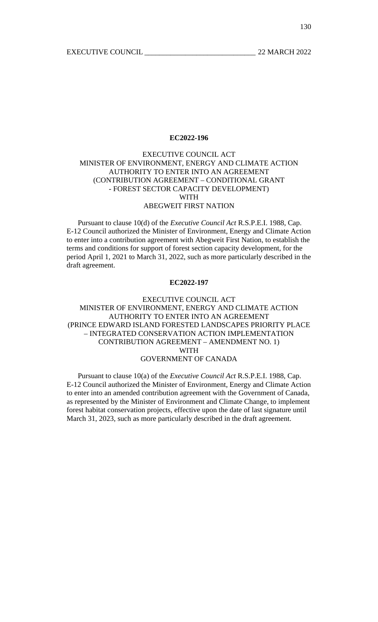# EXECUTIVE COUNCIL ACT MINISTER OF ENVIRONMENT, ENERGY AND CLIMATE ACTION AUTHORITY TO ENTER INTO AN AGREEMENT (CONTRIBUTION AGREEMENT – CONDITIONAL GRANT - FOREST SECTOR CAPACITY DEVELOPMENT) WITH ABEGWEIT FIRST NATION

 Pursuant to clause 10(d) of the *Executive Council Act* R.S.P.E.I. 1988, Cap. E-12 Council authorized the Minister of Environment, Energy and Climate Action to enter into a contribution agreement with Abegweit First Nation, to establish the terms and conditions for support of forest section capacity development, for the period April 1, 2021 to March 31, 2022, such as more particularly described in the draft agreement.

### **EC2022-197**

# EXECUTIVE COUNCIL ACT MINISTER OF ENVIRONMENT, ENERGY AND CLIMATE ACTION AUTHORITY TO ENTER INTO AN AGREEMENT (PRINCE EDWARD ISLAND FORESTED LANDSCAPES PRIORITY PLACE – INTEGRATED CONSERVATION ACTION IMPLEMENTATION CONTRIBUTION AGREEMENT – AMENDMENT NO. 1) WITH GOVERNMENT OF CANADA

 Pursuant to clause 10(a) of the *Executive Council Act* R.S.P.E.I. 1988, Cap. E-12 Council authorized the Minister of Environment, Energy and Climate Action to enter into an amended contribution agreement with the Government of Canada, as represented by the Minister of Environment and Climate Change, to implement forest habitat conservation projects, effective upon the date of last signature until March 31, 2023, such as more particularly described in the draft agreement.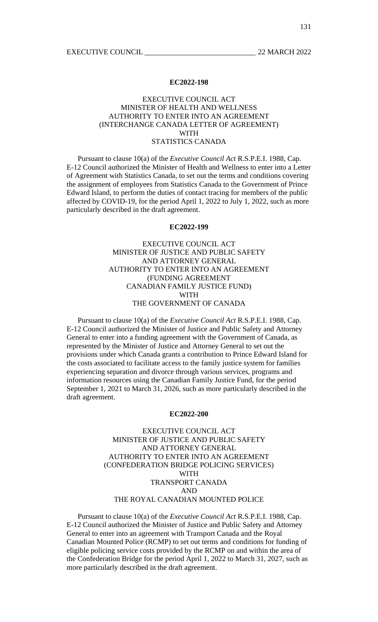## EXECUTIVE COUNCIL ACT MINISTER OF HEALTH AND WELLNESS AUTHORITY TO ENTER INTO AN AGREEMENT (INTERCHANGE CANADA LETTER OF AGREEMENT) WITH STATISTICS CANADA

 Pursuant to clause 10(a) of the *Executive Council Act* R.S.P.E.I. 1988, Cap. E-12 Council authorized the Minister of Health and Wellness to enter into a Letter of Agreement with Statistics Canada, to set out the terms and conditions covering the assignment of employees from Statistics Canada to the Government of Prince Edward Island, to perform the duties of contact tracing for members of the public affected by COVID-19, for the period April 1, 2022 to July 1, 2022, such as more particularly described in the draft agreement.

### **EC2022-199**

# EXECUTIVE COUNCIL ACT MINISTER OF JUSTICE AND PUBLIC SAFETY AND ATTORNEY GENERAL AUTHORITY TO ENTER INTO AN AGREEMENT (FUNDING AGREEMENT CANADIAN FAMILY JUSTICE FUND) WITH THE GOVERNMENT OF CANADA

 Pursuant to clause 10(a) of the *Executive Council Act* R.S.P.E.I. 1988, Cap. E-12 Council authorized the Minister of Justice and Public Safety and Attorney General to enter into a funding agreement with the Government of Canada, as represented by the Minister of Justice and Attorney General to set out the provisions under which Canada grants a contribution to Prince Edward Island for the costs associated to facilitate access to the family justice system for families experiencing separation and divorce through various services, programs and information resources using the Canadian Family Justice Fund, for the period September 1, 2021 to March 31, 2026, such as more particularly described in the draft agreement.

#### **EC2022-200**

EXECUTIVE COUNCIL ACT MINISTER OF JUSTICE AND PUBLIC SAFETY AND ATTORNEY GENERAL AUTHORITY TO ENTER INTO AN AGREEMENT (CONFEDERATION BRIDGE POLICING SERVICES) WITH TRANSPORT CANADA AND THE ROYAL CANADIAN MOUNTED POLICE

 Pursuant to clause 10(a) of the *Executive Council Act* R.S.P.E.I. 1988, Cap. E-12 Council authorized the Minister of Justice and Public Safety and Attorney General to enter into an agreement with Transport Canada and the Royal Canadian Mounted Police (RCMP) to set out terms and conditions for funding of eligible policing service costs provided by the RCMP on and within the area of the Confederation Bridge for the period April 1, 2022 to March 31, 2027, such as more particularly described in the draft agreement.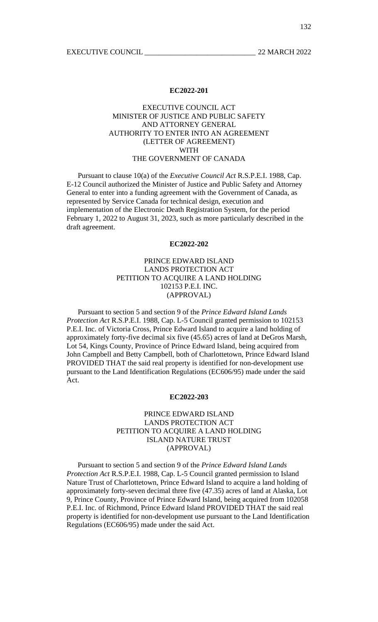# EXECUTIVE COUNCIL ACT MINISTER OF JUSTICE AND PUBLIC SAFETY AND ATTORNEY GENERAL AUTHORITY TO ENTER INTO AN AGREEMENT (LETTER OF AGREEMENT) WITH THE GOVERNMENT OF CANADA

 Pursuant to clause 10(a) of the *Executive Council Act* R.S.P.E.I. 1988, Cap. E-12 Council authorized the Minister of Justice and Public Safety and Attorney General to enter into a funding agreement with the Government of Canada, as represented by Service Canada for technical design, execution and implementation of the Electronic Death Registration System, for the period February 1, 2022 to August 31, 2023, such as more particularly described in the draft agreement.

#### **EC2022-202**

# PRINCE EDWARD ISLAND LANDS PROTECTION ACT PETITION TO ACQUIRE A LAND HOLDING 102153 P.E.I. INC. (APPROVAL)

 Pursuant to section 5 and section 9 of the *Prince Edward Island Lands Protection Act* R.S.P.E.I. 1988, Cap. L-5 Council granted permission to 102153 P.E.I. Inc. of Victoria Cross, Prince Edward Island to acquire a land holding of approximately forty-five decimal six five (45.65) acres of land at DeGros Marsh, Lot 54, Kings County, Province of Prince Edward Island, being acquired from John Campbell and Betty Campbell, both of Charlottetown, Prince Edward Island PROVIDED THAT the said real property is identified for non-development use pursuant to the Land Identification Regulations (EC606/95) made under the said Act.

#### **EC2022-203**

## PRINCE EDWARD ISLAND LANDS PROTECTION ACT PETITION TO ACQUIRE A LAND HOLDING ISLAND NATURE TRUST (APPROVAL)

 Pursuant to section 5 and section 9 of the *Prince Edward Island Lands Protection Act* R.S.P.E.I. 1988, Cap. L-5 Council granted permission to Island Nature Trust of Charlottetown, Prince Edward Island to acquire a land holding of approximately forty-seven decimal three five (47.35) acres of land at Alaska, Lot 9, Prince County, Province of Prince Edward Island, being acquired from 102058 P.E.I. Inc. of Richmond, Prince Edward Island PROVIDED THAT the said real property is identified for non-development use pursuant to the Land Identification Regulations (EC606/95) made under the said Act.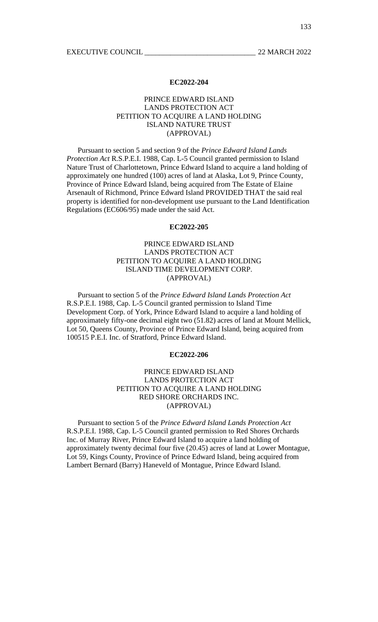## PRINCE EDWARD ISLAND LANDS PROTECTION ACT PETITION TO ACQUIRE A LAND HOLDING ISLAND NATURE TRUST (APPROVAL)

 Pursuant to section 5 and section 9 of the *Prince Edward Island Lands Protection Act* R.S.P.E.I. 1988, Cap. L-5 Council granted permission to Island Nature Trust of Charlottetown, Prince Edward Island to acquire a land holding of approximately one hundred (100) acres of land at Alaska, Lot 9, Prince County, Province of Prince Edward Island, being acquired from The Estate of Elaine Arsenault of Richmond, Prince Edward Island PROVIDED THAT the said real property is identified for non-development use pursuant to the Land Identification Regulations (EC606/95) made under the said Act.

### **EC2022-205**

# PRINCE EDWARD ISLAND LANDS PROTECTION ACT PETITION TO ACQUIRE A LAND HOLDING ISLAND TIME DEVELOPMENT CORP. (APPROVAL)

 Pursuant to section 5 of the *Prince Edward Island Lands Protection Act* R.S.P.E.I. 1988, Cap. L-5 Council granted permission to Island Time Development Corp. of York, Prince Edward Island to acquire a land holding of approximately fifty-one decimal eight two (51.82) acres of land at Mount Mellick, Lot 50, Queens County, Province of Prince Edward Island, being acquired from 100515 P.E.I. Inc. of Stratford, Prince Edward Island.

## **EC2022-206**

# PRINCE EDWARD ISLAND LANDS PROTECTION ACT PETITION TO ACQUIRE A LAND HOLDING RED SHORE ORCHARDS INC. (APPROVAL)

 Pursuant to section 5 of the *Prince Edward Island Lands Protection Act* R.S.P.E.I. 1988, Cap. L-5 Council granted permission to Red Shores Orchards Inc. of Murray River, Prince Edward Island to acquire a land holding of approximately twenty decimal four five (20.45) acres of land at Lower Montague, Lot 59, Kings County, Province of Prince Edward Island, being acquired from Lambert Bernard (Barry) Haneveld of Montague, Prince Edward Island.